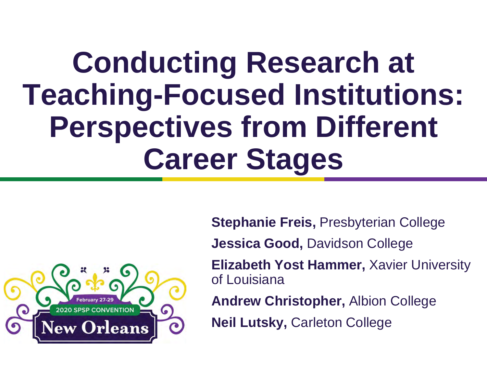#### **Conducting Research at Teaching-Focused Institutions: Perspectives from Different Career Stages**



**Stephanie Freis,** Presbyterian College

**Jessica Good,** Davidson College

**Elizabeth Yost Hammer,** Xavier University of Louisiana

**Andrew Christopher,** Albion College

**Neil Lutsky,** Carleton College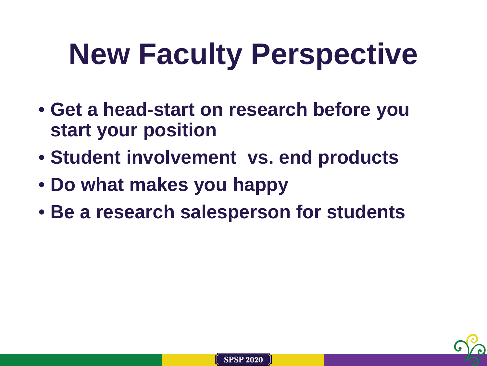# **New Faculty Perspective**

- **Get a head-start on research before you start your position**
- **Student involvement vs. end products**
- **Do what makes you happy**
- **Be a research salesperson for students**



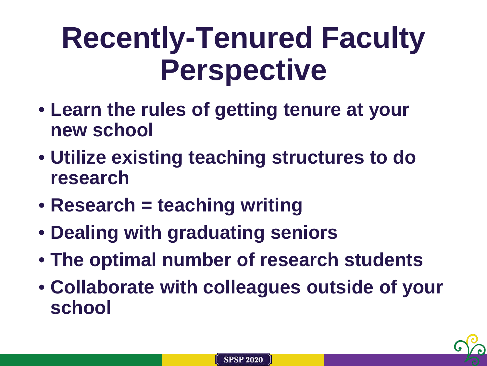#### **Recently-Tenured Faculty Perspective**

- **Learn the rules of getting tenure at your new school**
- **Utilize existing teaching structures to do research**
- **Research = teaching writing**
- **Dealing with graduating seniors**
- **The optimal number of research students**
- **Collaborate with colleagues outside of your school**



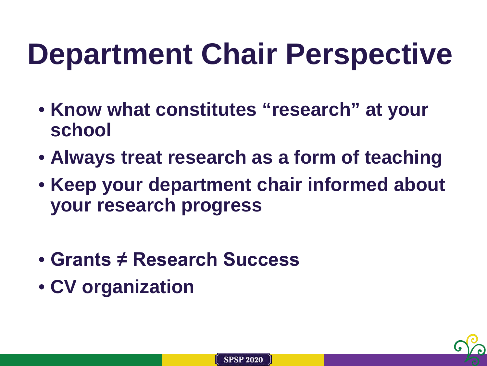## **Department Chair Perspective**

- **Know what constitutes "research" at your school**
- **Always treat research as a form of teaching**
- **Keep your department chair informed about your research progress**
- **Grants ≠ Research Success**
- **CV organization**

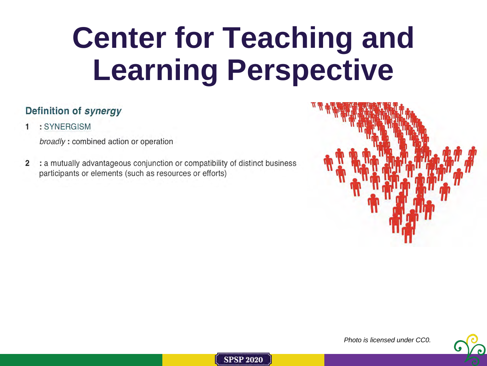## **Center for Teaching and Learning Perspective**

#### Definition of synergy

: SYNERGISM

broadly: combined action or operation

 $\overline{2}$ : a mutually advantageous conjunction or compatibility of distinct business participants or elements (such as resources or efforts)



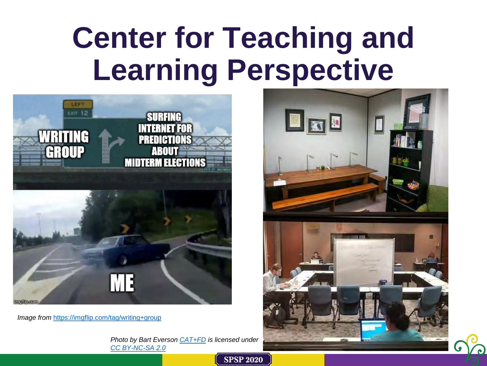#### **Center for Teaching and Learning Perspective**



*Image from* <https://imgflip.com/tag/writing+group>

*Photo by Bart Everson [CAT+FD](https://www.flickr.com/photos/84214240@N00) is licensed under [CC BY-NC-SA 2.0](https://creativecommons.org/licenses/by-nc-sa/2.0/?ref=ccsearch&atype=rich)*

**SPSP 2020** 

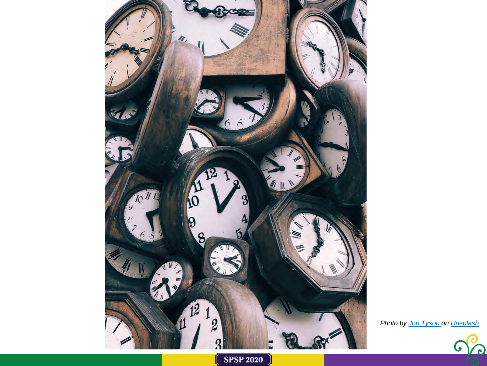

*Photo by [Jon Tyson o](https://unsplash.com/@jontyson)n Unsplash*



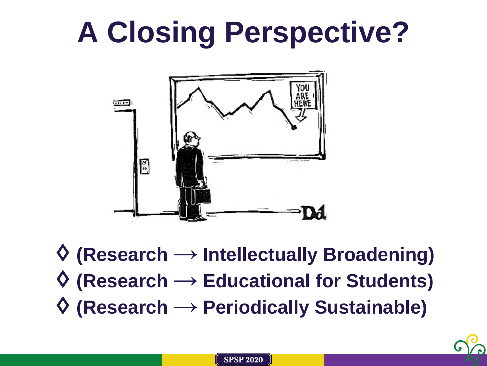## **A Closing Perspective?**



♢ **(Research → Intellectually Broadening)** ♢ **(Research → Educational for Students)** ♢ **(Research → Periodically Sustainable)**